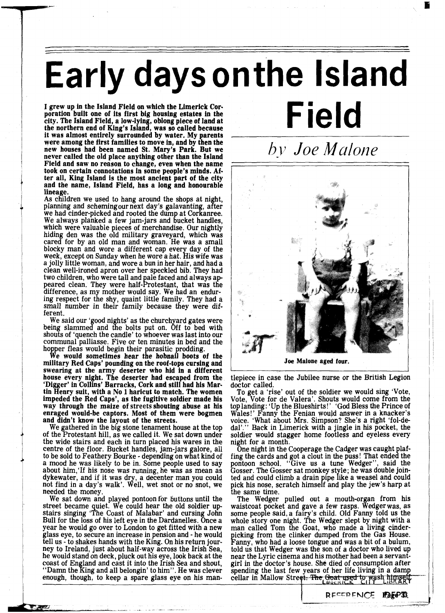## **Early days on the Island**

**I grew up in the Island Field on which the Limerick Corporation built one of its first big housing estates in the city. The Island Field, a low-lying, oblong piece of land at** the northern end of King's Island, was so called because **it was almost entirely surrounded by water. My parents were among the first families to move in, and by then the new houses had been named St. Mary's Park. But we never called the old place anything other than the Island Field and saw no reason to change, even when the name took on certain connotations in some people's minds. Af**and the name, Island Field, has a long and honourable **lineage.** 

As children we used to hang around the shops at night, planning and schemingour next day's galavanting, a **f** ter we had cinder-picked and rooted the dump at Corkanree. We always planked a few jam-jars and bucket handles, which were valuable pieces of merchandise. Our nightly hiding den was the old military graveyard, which was cared for by an old man and woman. He was a small blocky man and wore a different cap every day of the week, except on Sunday when he wore a hat. His wife was a jolly little woman, and wore a bun in her hair, and had a clean well-ironed apron over her speckled bib. They had two children, who were tall and pale faced and always appeared clean. They were half-Protestant, that was the difference, as my mother would say. We had an enduring respect for the shy, quaint little family. They had a small number in their family because they were different.

We said our 'good nights' as the churchyard gates were being slammed and the bolts put on. Off to bed with shouts of 'quench the candle' to whoever was last into our communal palliasse. Five or ten minutes in bed and the

hopper fleas would begin their parasitic prodding.<br>We would sometimes hear the hobnail boots of the **military Red Caps' pounding on the roof-tops cursing and swearing at the army deserter who hid in a different house every night. The deserter had escaped from the 'Digger' in Collins' Barracks, Cork and still had his Martin Henry suit, with a No 1 haricut to match. The women impeded the Red Caps', as the fugitive soldier made his way through the maize of** streets **shouting abuse at his enraged would-be captors. Most of them were bogmen and didn't know the layout of the streets.** 

of the Protestant hill, as we called it. We sat down under the wide stairs and each in turn placed his wares in the centre of the floor. Bucket handles, jam-jars galore, all to be sold to Feathery Bourke - depending on what kind of a mood he was likely to be in. Some people used to say about him, If his nose was running, he was as mean as dykewater, and if it was dry, a decenter man you could aykewater, and it it was dry, a decenter man you could<br>not find in a day's walk'. Well, wet snot or no snot, we needed the money.

We sat down and played pontoon for buttons until the street became quiet. We could hear the old soldier up-<br>stairs singing 'The Coast of Malabar' and cursing John Bull for the loss of his left eye in the Dardanelles. Once a year he would go over to London to get fitted with a new glass eye, to secure an increase in pension and - he would tell us - to shakes hands with the King. On his return journey to Ireland, just about half-way across the Irish Sea, he would stand on deck, pluck out his eye, look back at the coast of England and cast it into the Irish Sea and shout, "Damn the  $King$  and all belongin' to him". He was clever enough, though, to keep a spare glass eye on his manhv *Joe Mulone* 

**Field** 



**Joe Malone aged four.** 

tlepiece in case the Jubilee nurse or the British Legion doctor called.

To get a 'rise' out of the soldier we would sing 'Vote, Vote, Vote for de Valera'. Shouts would come from the toplanding: 'Up the Blueshirts! ' 'God Bless the Prince of Wales!' Fanny the Fenian would answer in a knacker's voice. 'What about Mrs. Simpson? She's a right 'fol-de dal'." Back in Limerick with a jingle in his pocket, the soldier would stagger home footless and eyeless every night for a month.

One night in the Cooperage the Cadger was caught plaffing the cards and got a clout in the puss! That ended the pontoon school. "Give us a tune Wedger", said the Gosser. The Gosser sat monkey style; he was double join-<br>ted and could climb a drain pipe like a weasel and could pick his nose, scratch himself and play the jew's harp at the same time.

The Wedger pulled out a mouth-organ from his waistcoat pocket and gave a few rasps. Wedgerwas, as some people said, a fairy's child. Old Fanny told us the whole story one night. The Wedger slept by night with a man called Tom the Goat, who made a living cinderpicking from the clinker dumped from the Gas House. Fannv. who had a loose tongue and was a bit of a bulum. told us that Wedger was the son of a doctor who lived up near the Lyric cinema and his mother had been a servantgirl in the doctor's house. She died of consumption after cellar in Mallow Street. The Goat used to wash himself

> RECEPENCE fa&CT3